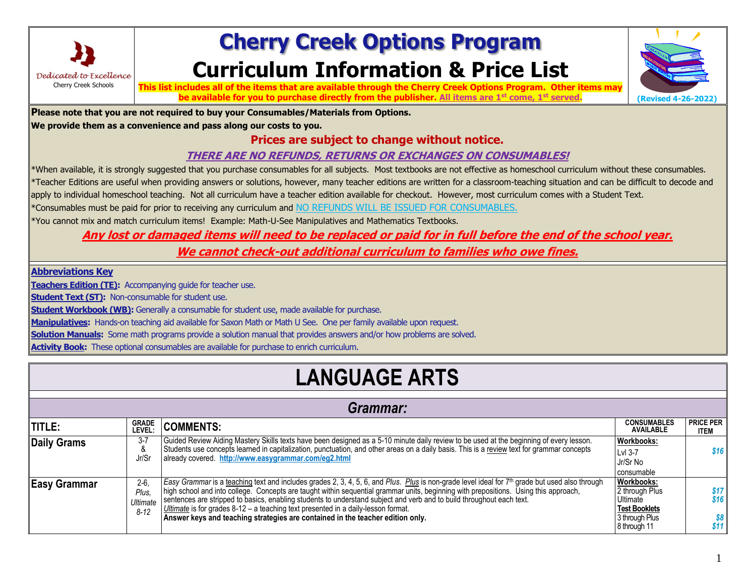

## **Cherry Creek Options Program Curriculum Information & Price List**



**This list includes all of the items that are available through the Cherry Creek Options Program. Other items may be available for you to purchase directly from the publisher. All items are 1st come, 1st served. (Revised 4-26-2022)**

**Please note that you are not required to buy your Consumables/Materials from Options.** 

**We provide them as a convenience and pass along our costs to you.**

### **Prices are subject to change without notice.**

#### **THERE ARE NO REFUNDS, RETURNS OR EXCHANGES ON CONSUMABLES!**

\*When available, it is strongly suggested that you purchase consumables for all subjects. Most textbooks are not effective as homeschool curriculum without these consumables. \*Teacher Editions are useful when providing answers or solutions, however, many teacher editions are written for a classroom-teaching situation and can be difficult to decode and apply to individual homeschool teaching. Not all curriculum have a teacher edition available for checkout. However, most curriculum comes with a Student Text.

\*Consumables must be paid for prior to receiving any curriculum and NO REFUNDS WILL BE ISSUED FOR CONSUMABLES.

\*You cannot mix and match curriculum items! Example: Math-U-See Manipulatives and Mathematics Textbooks.

### **Any lost or damaged items will need to be replaced or paid for in full before the end of the school year.**

**We cannot check-out additional curriculum to families who owe fines.**

**Abbreviations Key**

**Teachers Edition (TE):** Accompanying guide for teacher use.

**Student Text (ST):** Non-consumable for student use.

**Student Workbook (WB):** Generally a consumable for student use, made available for purchase.

**Manipulatives:** Hands-on teaching aid available for Saxon Math or Math U See. One per family available upon request.

**Solution Manuals:** Some math programs provide a solution manual that provides answers and/or how problems are solved.

**Activity Book:** These optional consumables are available for purchase to enrich curriculum.

## **LANGUAGE ARTS**

|                     | Grammar:                                |                                                                                                                                                                                                                                                                                                                                                                                                                                                                                                                                                                                                      |                                                                                                    |                                 |  |  |
|---------------------|-----------------------------------------|------------------------------------------------------------------------------------------------------------------------------------------------------------------------------------------------------------------------------------------------------------------------------------------------------------------------------------------------------------------------------------------------------------------------------------------------------------------------------------------------------------------------------------------------------------------------------------------------------|----------------------------------------------------------------------------------------------------|---------------------------------|--|--|
| <b>TITLE:</b>       | <b>GRADE</b><br>LEVEL:                  | <b>COMMENTS:</b>                                                                                                                                                                                                                                                                                                                                                                                                                                                                                                                                                                                     | <b>CONSUMABLES</b><br><b>AVAILABLE</b>                                                             | <b>PRICE PER</b><br><b>ITEM</b> |  |  |
| <b>Daily Grams</b>  | $3 - 7$<br>&<br>Jr/Sr                   | Guided Review Aiding Mastery Skills texts have been designed as a 5-10 minute daily review to be used at the beginning of every lesson.<br>Students use concepts learned in capitalization, punctuation, and other areas on a daily basis. This is a review text for grammar concepts<br>already covered http://www.easygrammar.com/eg2.html                                                                                                                                                                                                                                                         | <b>Workbooks:</b><br>Lvl 3-7<br>Jr/Sr No<br>consumable                                             | \$16                            |  |  |
| <b>Easy Grammar</b> | $2-6.$<br>Plus.<br>Ultimate<br>$8 - 12$ | Easy Grammar is a teaching text and includes grades 2, 3, 4, 5, 6, and Plus. Plus is non-grade level ideal for 7 <sup>th</sup> grade but used also through<br>high school and into college. Concepts are taught within sequential grammar units, beginning with prepositions. Using this approach,<br>sentences are stripped to basics, enabling students to understand subject and verb and to build throughout each text.<br>Ultimate is for grades $8-12 - a$ teaching text presented in a daily-lesson format.<br>Answer keys and teaching strategies are contained in the teacher edition only. | Workbooks:<br>2 through Plus<br>Ultimate<br><b>Test Booklets</b><br>3 through Plus<br>8 through 11 | \$17<br>\$16<br>\$8<br>\$11     |  |  |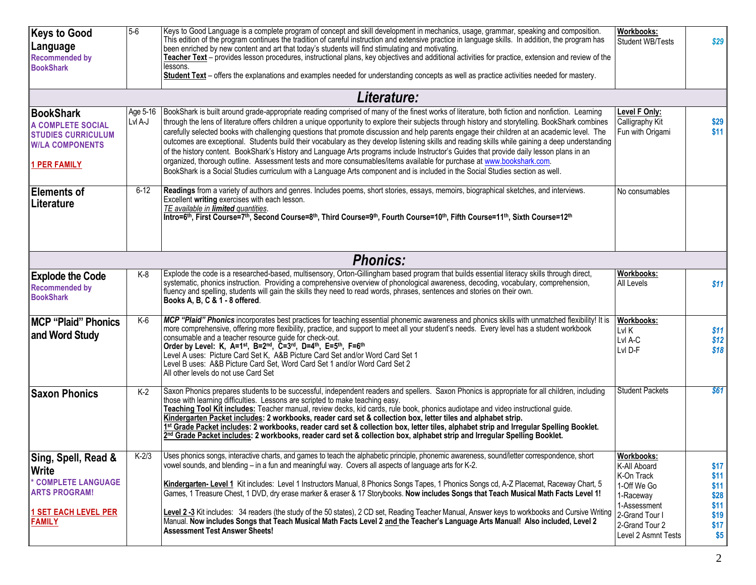| <b>Keys to Good</b><br>Language<br><b>Recommended by</b>                                                                           | $5-6$               | Keys to Good Language is a complete program of concept and skill development in mechanics, usage, grammar, speaking and composition.<br>This edition of the program continues the tradition of careful instruction and extensive practice in language skills. In addition, the program has<br>been enriched by new content and art that today's students will find stimulating and motivating.<br>Teacher Text - provides lesson procedures, instructional plans, key objectives and additional activities for practice, extension and review of the                                                                                                                                                                                                                                                                                                                                                                                                                                                            | <b>Workbooks:</b><br>Student WB/Tests                                                                                                           | \$29                                                        |
|------------------------------------------------------------------------------------------------------------------------------------|---------------------|-----------------------------------------------------------------------------------------------------------------------------------------------------------------------------------------------------------------------------------------------------------------------------------------------------------------------------------------------------------------------------------------------------------------------------------------------------------------------------------------------------------------------------------------------------------------------------------------------------------------------------------------------------------------------------------------------------------------------------------------------------------------------------------------------------------------------------------------------------------------------------------------------------------------------------------------------------------------------------------------------------------------|-------------------------------------------------------------------------------------------------------------------------------------------------|-------------------------------------------------------------|
| <b>BookShark</b>                                                                                                                   |                     | essons.<br>Student Text - offers the explanations and examples needed for understanding concepts as well as practice activities needed for mastery.                                                                                                                                                                                                                                                                                                                                                                                                                                                                                                                                                                                                                                                                                                                                                                                                                                                             |                                                                                                                                                 |                                                             |
|                                                                                                                                    |                     | Literature:                                                                                                                                                                                                                                                                                                                                                                                                                                                                                                                                                                                                                                                                                                                                                                                                                                                                                                                                                                                                     |                                                                                                                                                 |                                                             |
| <b>BookShark</b><br>A COMPLETE SOCIAL<br><b>STUDIES CURRICULUM</b><br><b>W/LA COMPONENTS</b><br><b>1 PER FAMILY</b>                | Age 5-16<br>Lvl A-J | BookShark is built around grade-appropriate reading comprised of many of the finest works of literature, both fiction and nonfiction. Learning<br>through the lens of literature offers children a unique opportunity to explore their subjects through history and storytelling. BookShark combines<br>carefully selected books with challenging questions that promote discussion and help parents engage their children at an academic level. The<br>outcomes are exceptional. Students build their vocabulary as they develop listening skills and reading skills while gaining a deep understanding<br>of the history content. BookShark's History and Language Arts programs include Instructor's Guides that provide daily lesson plans in an<br>organized, thorough outline. Assessment tests and more consumables/items available for purchase at www.bookshark.com.<br>BookShark is a Social Studies curriculum with a Language Arts component and is included in the Social Studies section as well. | Level F Only:<br>Calligraphy Kit<br>Fun with Origami                                                                                            | \$29<br>\$11                                                |
| <b>Elements of</b><br><b>Literature</b>                                                                                            | $6-12$              | Readings from a variety of authors and genres. Includes poems, short stories, essays, memoirs, biographical sketches, and interviews.<br>Excellent writing exercises with each lesson.<br>TE available in <b>limited</b> quantities.<br>Intro=6th, First Course=7th, Second Course=8th, Third Course=9th, Fourth Course=10th, Fifth Course=11th, Sixth Course=12th                                                                                                                                                                                                                                                                                                                                                                                                                                                                                                                                                                                                                                              | No consumables                                                                                                                                  |                                                             |
|                                                                                                                                    |                     | <b>Phonics:</b>                                                                                                                                                                                                                                                                                                                                                                                                                                                                                                                                                                                                                                                                                                                                                                                                                                                                                                                                                                                                 |                                                                                                                                                 |                                                             |
| <b>Explode the Code</b><br><b>Recommended by</b><br><b>BookShark</b>                                                               | K-8                 | Explode the code is a researched-based, multisensory, Orton-Gillingham based program that builds essential literacy skills through direct,<br>systematic, phonics instruction. Providing a comprehensive overview of phonological awareness, decoding, vocabulary, comprehension,<br>fluency and spelling, students will gain the skills they need to read words, phrases, sentences and stories on their own.<br>Books A, B, C & 1 - 8 offered.                                                                                                                                                                                                                                                                                                                                                                                                                                                                                                                                                                | Workbooks:<br>All Levels                                                                                                                        | \$11                                                        |
| <b>MCP</b> "Plaid" Phonics<br>and Word Study                                                                                       | K-6                 | MCP "Plaid" Phonics incorporates best practices for teaching essential phonemic awareness and phonics skills with unmatched flexibility! It is<br>more comprehensive, offering more flexibility, practice, and support to meet all your student's needs. Every level has a student workbook<br>consumable and a teacher resource guide for check-out.<br>Order by Level: K, A=1st, B=2nd, C=3rd, D=4th, E=5th, F=6th<br>Level A uses: Picture Card Set K, A&B Picture Card Set and/or Word Card Set 1<br>Level B uses: A&B Picture Card Set, Word Card Set 1 and/or Word Card Set 2<br>All other levels do not use Card Set                                                                                                                                                                                                                                                                                                                                                                                     | <b>Workbooks:</b><br>Lvl K<br>Lvl A-C<br>LvI D-F                                                                                                | \$11<br>\$12<br>\$18                                        |
| <b>Saxon Phonics</b>                                                                                                               | $K-2$               | Saxon Phonics prepares students to be successful, independent readers and spellers. Saxon Phonics is appropriate for all children, including<br>those with learning difficulties. Lessons are scripted to make teaching easy.<br>Teaching Tool Kit includes: Teacher manual, review decks, kid cards, rule book, phonics audiotape and video instructional guide.<br>Kindergarten Packet includes: 2 workbooks, reader card set & collection box, letter tiles and alphabet strip.<br>1st Grade Packet includes: 2 workbooks, reader card set & collection box, letter tiles, alphabet strip and Irregular Spelling Booklet.<br>2nd Grade Packet includes: 2 workbooks, reader card set & collection box, alphabet strip and Irregular Spelling Booklet.                                                                                                                                                                                                                                                        | <b>Student Packets</b>                                                                                                                          | <b>\$61</b>                                                 |
| Sing, Spell, Read &<br><b>Write</b><br>* COMPLETE LANGUAGE<br><b>ARTS PROGRAM!</b><br><b>1 SET EACH LEVEL PER</b><br><b>FAMILY</b> | $K-2/3$             | Uses phonics songs, interactive charts, and games to teach the alphabetic principle, phonemic awareness, sound/letter correspondence, short<br>vowel sounds, and blending – in a fun and meaningful way. Covers all aspects of language arts for K-2.<br>Kindergarten- Level 1 Kit includes: Level 1 Instructors Manual, 8 Phonics Songs Tapes, 1 Phonics Songs cd, A-Z Placemat, Raceway Chart, 5<br>Games, 1 Treasure Chest, 1 DVD, dry erase marker & eraser & 17 Storybooks. Now includes Songs that Teach Musical Math Facts Level 1!<br>Level 2 -3 Kit includes: 34 readers (the study of the 50 states), 2 CD set, Reading Teacher Manual, Answer keys to workbooks and Cursive Writing<br>Manual. Now includes Songs that Teach Musical Math Facts Level 2 and the Teacher's Language Arts Manual! Also included, Level 2<br><b>Assessment Test Answer Sheets!</b>                                                                                                                                      | Workbooks:<br>K-All Aboard<br>K-On Track<br>1-Off We Go<br>1-Raceway<br>1-Assessment<br>2-Grand Tour I<br>2-Grand Tour 2<br>Level 2 Asmnt Tests | \$17<br>\$11<br>\$11<br>\$28<br>\$11<br>\$19<br>\$17<br>\$5 |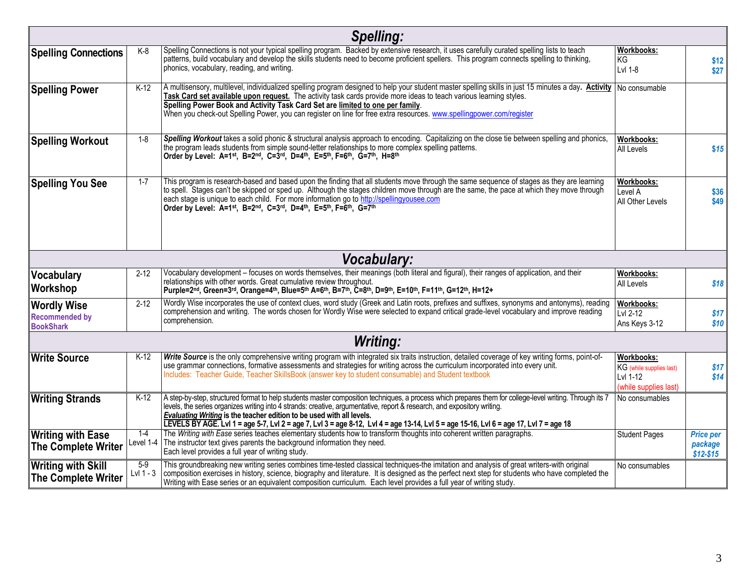|                                                                 |                      | <b>Spelling:</b>                                                                                                                                                                                                                                                                                                                                                                                                                                                                                                                                |                                                                                    |                                            |
|-----------------------------------------------------------------|----------------------|-------------------------------------------------------------------------------------------------------------------------------------------------------------------------------------------------------------------------------------------------------------------------------------------------------------------------------------------------------------------------------------------------------------------------------------------------------------------------------------------------------------------------------------------------|------------------------------------------------------------------------------------|--------------------------------------------|
| <b>Spelling Connections</b>                                     | K-8                  | Spelling Connections is not your typical spelling program. Backed by extensive research, it uses carefully curated spelling lists to teach<br>patterns, build vocabulary and develop the skills students need to become proficient spellers. This program connects spelling to thinking,<br>phonics, vocabulary, reading, and writing.                                                                                                                                                                                                          | <b>Workbooks:</b><br>KG<br>Lvl 1-8                                                 | \$12<br>\$27                               |
| <b>Spelling Power</b>                                           | $K-12$               | A multisensory, multilevel, individualized spelling program designed to help your student master spelling skills in just 15 minutes a day. Activity No consumable<br>Task Card set available upon request. The activity task cards provide more ideas to teach various learning styles.<br>Spelling Power Book and Activity Task Card Set are limited to one per family.<br>When you check-out Spelling Power, you can register on line for free extra resources. www.spellingpower.com/register                                                |                                                                                    |                                            |
| <b>Spelling Workout</b>                                         | $1 - 8$              | Spelling Workout takes a solid phonic & structural analysis approach to encoding. Capitalizing on the close tie between spelling and phonics,<br>the program leads students from simple sound-letter relationships to more complex spelling patterns.<br>Order by Level: A=1 <sup>st</sup> , B=2 <sup>nd</sup> , C=3 <sup>rd</sup> , D=4 <sup>th</sup> , E=5 <sup>th</sup> , F=6 <sup>th</sup> , G=7 <sup>th</sup> , H=8 <sup>th</sup>                                                                                                          | <b>Workbooks:</b><br>All Levels                                                    | \$15                                       |
| <b>Spelling You See</b>                                         | $1 - 7$              | This program is research-based and based upon the finding that all students move through the same sequence of stages as they are learning<br>to spell. Stages can't be skipped or sped up. Although the stages children move through are the same, the pace at which they move through<br>each stage is unique to each child. For more information go to http://spellingyousee.com<br>Order by Level: A=1 <sup>st</sup> , B=2 <sup>nd</sup> , C=3 <sup>rd</sup> , D=4 <sup>th</sup> , E=5 <sup>th</sup> , F=6 <sup>th</sup> , G=7 <sup>th</sup> | Workbooks:<br>Level A<br>All Other Levels                                          | \$36<br>\$49                               |
|                                                                 |                      | <b>Vocabulary:</b>                                                                                                                                                                                                                                                                                                                                                                                                                                                                                                                              |                                                                                    |                                            |
| Vocabulary<br>Workshop                                          | $2 - 12$             | Vocabulary development – focuses on words themselves, their meanings (both literal and figural), their ranges of application, and their<br>relationships with other words. Great cumulative review throughout.<br>Purple=2nd, Green=3rd, Orange=4th, Blue=5th A=6th, B=7th, Č=8th, D=9th, E=10th, F=11th, G=12th, H=12+                                                                                                                                                                                                                         | Workbooks:<br>All Levels                                                           | \$18                                       |
| <b>Wordly Wise</b><br><b>Recommended by</b><br><b>BookShark</b> | $2 - 12$             | Wordly Wise incorporates the use of context clues, word study (Greek and Latin roots, prefixes and suffixes, synonyms and antonyms), reading<br>comprehension and writing. The words chosen for Wordly Wise were selected to expand critical grade-level vocabulary and improve reading<br>comprehension.                                                                                                                                                                                                                                       | <b>Workbooks:</b><br>Lvl 2-12<br>Ans Keys 3-12                                     | \$17<br>\$10                               |
|                                                                 |                      | <b>Writing:</b>                                                                                                                                                                                                                                                                                                                                                                                                                                                                                                                                 |                                                                                    |                                            |
| <b>IWrite Source</b>                                            | K-12                 | Write Source is the only comprehensive writing program with integrated six traits instruction, detailed coverage of key writing forms, point-of-<br>use grammar connections, formative assessments and strategies for writing across the curriculum incorporated into every unit.<br>Includes: Teacher Guide, Teacher SkillsBook (answer key to student consumable) and Student textbook                                                                                                                                                        | <b>Workbooks:</b><br>KG (while supplies last)<br>Lvl 1-12<br>(while supplies last) | \$17<br>\$14                               |
| <b>Writing Strands</b>                                          | $K-12$               | A step-by-step, structured format to help students master composition techniques, a process which prepares them for college-level writing. Through its 7<br>levels, the series organizes writing into 4 strands: creative, argumentative, report & research, and expository writing.<br><b>Evaluating Writing</b> is the teacher edition to be used with all levels.<br>LEVELS BY AGE. Lvl 1 = age 5-7, Lvl 2 = age 7, Lvl 3 = age 8-12, Lvl 4 = age 13-14, Lvl 5 = age 15-16, Lvl 6 = age 17, Lvl 7 = age 18                                   | No consumables                                                                     |                                            |
| <b>Writing with Ease</b><br><b>The Complete Writer</b>          | $1 - 4$<br>Level 1-4 | The Writing with Ease series teaches elementary students how to transform thoughts into coherent written paragraphs.<br>The instructor text gives parents the background information they need.<br>Each level provides a full year of writing study.                                                                                                                                                                                                                                                                                            | <b>Student Pages</b>                                                               | <b>Price per</b><br>package<br>$$12 - $15$ |
| <b>Writing with Skill</b><br><b>The Complete Writer</b>         | $5-9$<br>Lvl 1 - 3   | This groundbreaking new writing series combines time-tested classical techniques-the imitation and analysis of great writers-with original<br>composition exercises in history, science, biography and literature. It is designed as the perfect next step for students who have completed the<br>Writing with Ease series or an equivalent composition curriculum. Each level provides a full year of writing study.                                                                                                                           | No consumables                                                                     |                                            |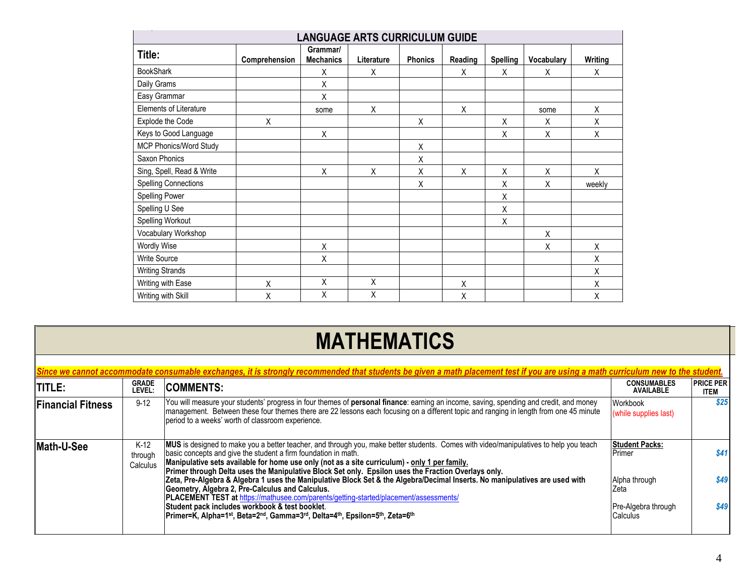| <b>LANGUAGE ARTS CURRICULUM GUIDE</b> |               |                              |            |                |              |                 |            |         |
|---------------------------------------|---------------|------------------------------|------------|----------------|--------------|-----------------|------------|---------|
| Title:                                | Comprehension | Grammar/<br><b>Mechanics</b> | Literature | <b>Phonics</b> | Reading      | <b>Spelling</b> | Vocabulary | Writing |
| <b>BookShark</b>                      |               | X                            | X          |                | X            | X               | Χ          | X       |
| Daily Grams                           |               | Χ                            |            |                |              |                 |            |         |
| Easy Grammar                          |               | Χ                            |            |                |              |                 |            |         |
| Elements of Literature                |               | some                         | X          |                | $\pmb{\chi}$ |                 | some       | Χ       |
| Explode the Code                      | X             |                              |            | Χ              |              | Χ               | X          | Χ       |
| Keys to Good Language                 |               | X                            |            |                |              | X               | Χ          | Χ       |
| MCP Phonics/Word Study                |               |                              |            | $\mathsf X$    |              |                 |            |         |
| Saxon Phonics                         |               |                              |            | X              |              |                 |            |         |
| Sing, Spell, Read & Write             |               | X                            | X          | Χ              | X            | X               | Χ          | X       |
| <b>Spelling Connections</b>           |               |                              |            | X              |              | X               | Χ          | weekly  |
| Spelling Power                        |               |                              |            |                |              | X               |            |         |
| Spelling U See                        |               |                              |            |                |              | X               |            |         |
| Spelling Workout                      |               |                              |            |                |              | X               |            |         |
| Vocabulary Workshop                   |               |                              |            |                |              |                 | X          |         |
| <b>Wordly Wise</b>                    |               | Χ                            |            |                |              |                 | Χ          | Χ       |
| <b>Write Source</b>                   |               | Χ                            |            |                |              |                 |            | Χ       |
| <b>Writing Strands</b>                |               |                              |            |                |              |                 |            | Χ       |
| Writing with Ease                     | Χ             | Χ                            | Χ          |                | Χ            |                 |            | Χ       |
| Writing with Skill                    | Χ             | X                            | Χ          |                | Χ            |                 |            | Χ       |

## **MATHEMATICS**

| Since we cannot accommodate consumable exchanges, it is strongly recommended that students be given a math placement test if you are using a math curriculum new to the student. |                               |                                                                                                                                                                                                                                                                                                                                                                                                                 |                                         |                          |  |  |
|----------------------------------------------------------------------------------------------------------------------------------------------------------------------------------|-------------------------------|-----------------------------------------------------------------------------------------------------------------------------------------------------------------------------------------------------------------------------------------------------------------------------------------------------------------------------------------------------------------------------------------------------------------|-----------------------------------------|--------------------------|--|--|
| <b>TITLE:</b>                                                                                                                                                                    | <b>GRADE</b><br>level:        | <b>COMMENTS:</b>                                                                                                                                                                                                                                                                                                                                                                                                | <b>CONSUMABLES</b><br><b>AVAILABLE</b>  | <b>PRICE PER</b><br>ITEM |  |  |
| <b>Financial Fitness</b>                                                                                                                                                         | $9-12$                        | You will measure your students' progress in four themes of personal finance: earning an income, saving, spending and credit, and money<br>management. Between these four themes there are 22 lessons each focusing on a different topic and ranging in length from one 45 minute<br>period to a weeks' worth of classroom experience.                                                                           | Workbook<br>(while supplies last)       | \$25                     |  |  |
| <b>Math-U-See</b>                                                                                                                                                                | $K-12$<br>through<br>Calculus | MUS is designed to make you a better teacher, and through you, make better students. Comes with video/manipulatives to help you teach<br>basic concepts and give the student a firm foundation in math.<br>Manipulative sets available for home use only (not as a site curriculum) - only 1 per family.<br>Primer through Delta uses the Manipulative Block Set only. Epsilon uses the Fraction Overlays only. | <b>Student Packs:</b><br><b>IPrimer</b> | \$41                     |  |  |
|                                                                                                                                                                                  |                               | Zeta, Pre-Algebra & Algebra 1 uses the Manipulative Block Set & the Algebra/Decimal Inserts. No manipulatives are used with<br>Geometry, Algebra 2, Pre-Calculus and Calculus.<br><b>PLACEMENT TEST at https://mathusee.com/parents/getting-started/placement/assessments/</b>                                                                                                                                  | Alpha through<br>Zeta                   | \$49                     |  |  |
|                                                                                                                                                                                  |                               | Student pack includes workbook & test booklet.<br>Primer=K, Alpha=1 <sup>st</sup> , Beta=2 <sup>nd</sup> , Gamma=3 <sup>rd</sup> , Delta=4 <sup>th</sup> , Epsilon=5 <sup>th</sup> , Zeta=6 <sup>th</sup>                                                                                                                                                                                                       | Pre-Algebra through<br>Calculus         | \$49                     |  |  |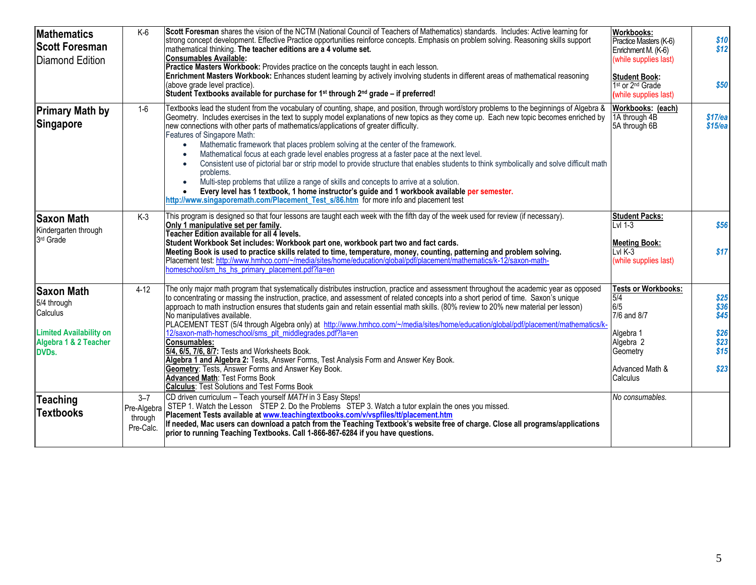| <b>Mathematics</b><br><b>Scott Foresman</b><br><b>Diamond Edition</b>                                                   | $K-6$                                          | Scott Foresman shares the vision of the NCTM (National Council of Teachers of Mathematics) standards. Includes: Active learning for<br>strong concept development. Effective Practice opportunities reinforce concepts. Emphasis on problem solving. Reasoning skills support<br>mathematical thinking. The teacher editions are a 4 volume set.<br><b>Consumables Available:</b><br>Practice Masters Workbook: Provides practice on the concepts taught in each lesson.<br>Enrichment Masters Workbook: Enhances student learning by actively involving students in different areas of mathematical reasoning<br>(above grade level practice).<br>Student Textbooks available for purchase for $1st$ through $2nd$ grade – if preferred!                                                                                                                                                                                                                                                                                                                  | <b>Workbooks:</b><br>Practice Masters (K-6)<br>Enrichment M. (K-6)<br>(while supplies last)<br><b>Student Book:</b><br>1 <sup>st</sup> or 2 <sup>nd</sup> Grade<br>(while supplies last) | \$10<br>\$12<br>\$50                                   |
|-------------------------------------------------------------------------------------------------------------------------|------------------------------------------------|------------------------------------------------------------------------------------------------------------------------------------------------------------------------------------------------------------------------------------------------------------------------------------------------------------------------------------------------------------------------------------------------------------------------------------------------------------------------------------------------------------------------------------------------------------------------------------------------------------------------------------------------------------------------------------------------------------------------------------------------------------------------------------------------------------------------------------------------------------------------------------------------------------------------------------------------------------------------------------------------------------------------------------------------------------|------------------------------------------------------------------------------------------------------------------------------------------------------------------------------------------|--------------------------------------------------------|
| <b>Primary Math by</b><br>Singapore                                                                                     | $1-6$                                          | Textbooks lead the student from the vocabulary of counting, shape, and position, through word/story problems to the beginnings of Algebra &<br>Geometry. Includes exercises in the text to supply model explanations of new topics as they come up. Each new topic becomes enriched by<br>new connections with other parts of mathematics/applications of greater difficulty.<br>Features of Singapore Math:<br>Mathematic framework that places problem solving at the center of the framework.<br>$\bullet$<br>Mathematical focus at each grade level enables progress at a faster pace at the next level.<br>Consistent use of pictorial bar or strip model to provide structure that enables students to think symbolically and solve difficult math<br>problems.<br>Multi-step problems that utilize a range of skills and concepts to arrive at a solution.<br>Every level has 1 textbook, 1 home instructor's guide and 1 workbook available per semester.<br>http://www.singaporemath.com/Placement_Test_s/86.htm for more info and placement test | Workbooks: (each)<br>1A through 4B<br>5A through 6B                                                                                                                                      | $$17$ /ea<br>$$15$ /ea                                 |
| <b>Saxon Math</b><br>Kindergarten through<br>3 <sup>rd</sup> Grade                                                      | $K-3$                                          | This program is designed so that four lessons are taught each week with the fifth day of the week used for review (if necessary).<br>Only 1 manipulative set per family.<br>Teacher Edition available for all 4 levels.<br>Student Workbook Set includes: Workbook part one, workbook part two and fact cards.<br>Meeting Book is used to practice skills related to time, temperature, money, counting, patterning and problem solving.<br>Placement test: http://www.hmhco.com/~/media/sites/home/education/global/pdf/placement/mathematics/k-12/saxon-math-<br>homeschool/sm hs hs primary placement.pdf?la=en                                                                                                                                                                                                                                                                                                                                                                                                                                         | <b>Student Packs:</b><br>$Lvl$ 1-3<br><b>Meeting Book:</b><br>$LvlK-3$<br>(while supplies last)                                                                                          | \$56<br>\$17                                           |
| <b>Saxon Math</b><br>5/4 through<br>Calculus<br><b>Limited Availability on</b><br>Algebra 1 & 2 Teacher<br><b>DVDs.</b> | $4-12$                                         | The only major math program that systematically distributes instruction, practice and assessment throughout the academic year as opposed<br>to concentrating or massing the instruction, practice, and assessment of related concepts into a short period of time. Saxon's unique<br>approach to math instruction ensures that students gain and retain essential math skills. (80% review to 20% new material per lesson)<br>No manipulatives available.<br>PLACEMENT TEST (5/4 through Algebra only) at http://www.hmhco.com/~/media/sites/home/education/global/pdf/placement/mathematics/k-<br>12/saxon-math-homeschool/sms_plt_middlegrades.pdf?la=en<br>Consumables:<br>5/4, 6/5, 7/6, 8/7: Tests and Worksheets Book.<br>Algebra 1 and Algebra 2: Tests, Answer Forms, Test Analysis Form and Answer Key Book.<br>Geometry: Tests, Answer Forms and Answer Key Book.<br><b>Advanced Math: Test Forms Book</b><br><b>Calculus: Test Solutions and Test Forms Book</b>                                                                                | <b>Tests or Workbooks:</b><br>5/4<br>6/5<br>7/6 and 8/7<br>Algebra 1<br>Algebra 2<br>Geometry<br>Advanced Math &<br>Calculus                                                             | $$25$<br>$$36$<br>\$45<br>\$26<br>\$23<br>\$15<br>\$23 |
| Teaching<br><b>Textbooks</b>                                                                                            | $3 - 7$<br>Pre-Algebra<br>through<br>Pre-Calc. | CD driven curriculum - Teach yourself MATH in 3 Easy Steps!<br>STEP 1. Watch the Lesson STEP 2. Do the Problems STEP 3. Watch a tutor explain the ones you missed.<br>Placement Tests available at www.teachingtextbooks.com/v/vspfiles/tt/placement.htm<br>If needed, Mac users can download a patch from the Teaching Textbook's website free of charge. Close all programs/applications<br>prior to running Teaching Textbooks. Call 1-866-867-6284 if you have questions.                                                                                                                                                                                                                                                                                                                                                                                                                                                                                                                                                                              | No consumables.                                                                                                                                                                          |                                                        |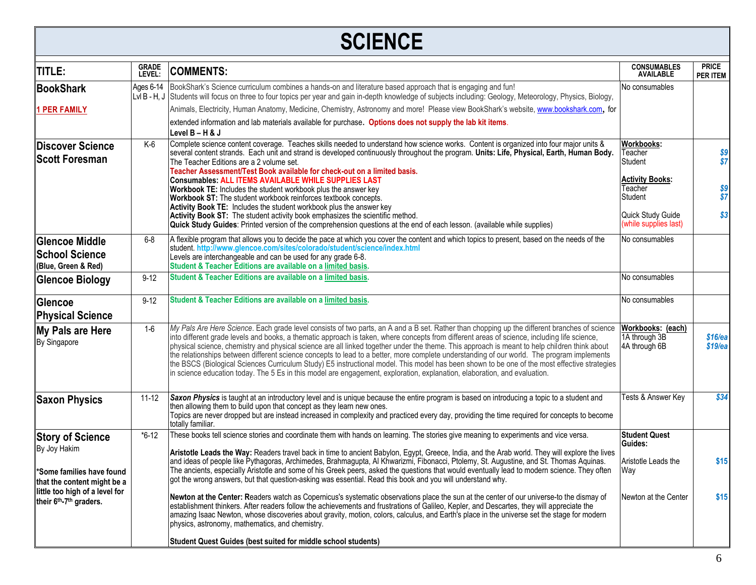#### **SCIENCE TITLE: GRADE LEVEL: COMMENTS: CONSUMABLES AVAILABLE PRICE PER ITEM BookShark 1 PER FAMILY** Ages 6-14 Lvl B - H, J Students will focus on three to four topics per year and gain in-depth knowledge of subjects including: Geology, Meteorology, Physics, Biology, BookShark's Science curriculum combines a hands-on and literature based approach that is engaging and fun! Animals, Electricity, Human Anatomy, Medicine, Chemistry, Astronomy and more! Please view BookShark's website, [www.bookshark.com](http://www.bookshark.com/), for extended information and lab materials available for purchase. **Options does not supply the lab kit items**. **Level B – H & J** No consumables **Discover Science Scott Foresman**  K-6 Complete science content coverage. Teaches skills needed to understand how science works. Content is organized into four major units & several content strands. Each unit and strand is developed continuously throughout the program. **Units: Life, Physical, Earth, Human Body.** The Teacher Editions are a 2 volume set. **Teacher Assessment/Test Book available for check-out on a limited basis. Consumables: ALL ITEMS AVAILABLE WHILE SUPPLIES LAST Workbook TE:** Includes the student workbook plus the answer key **Workbook ST:** The student workbook reinforces textbook concepts. **Activity Book TE:** Includes the student workbook plus the answer key **Activity Book ST:** The student activity book emphasizes the scientific method. **Quick Study Guides**: Printed version of the comprehension questions at the end of each lesson. (available while supplies) **Workbooks:** Teacher Student **Activity Books:**  Teacher Student Quick Study Guide (while supplies last) *\$9 \$7 \$9 \$7 \$3* **Glencoe Middle School Science (Blue, Green & Red)** 6-8 A flexible program that allows you to decide the pace at which you cover the content and which topics to present, based on the needs of the student. **http://www.glencoe.com/sites/colorado/student/science/index.html**  Levels are interchangeable and can be used for any grade 6-8. **Student & Teacher Editions are available on a limited basis.**  No consumables **Glencoe Biology** 9-12 Student & Teacher Editions are available on a limited basis. **Glencoe Physical Science** 9-12 **Student & Teacher Editions are available on a limited basis.** No consumables **My Pals are Here** By Singapore 1-6 *My Pals Are Here Science*. Each grade level consists of two parts, an A and a B set. Rather than chopping up the different branches of science into different grade levels and books, a thematic approach is taken, where concepts from different areas of science, including life science, physical science, chemistry and physical science are all linked together under the theme. This approach is meant to help children think about the relationships between different science concepts to lead to a better, more complete understanding of our world. The program implements the BSCS (Biological Sciences Curriculum Study) E5 instructional model. This model has been shown to be one of the most effective strategies in science education today. The 5 Es in this model are engagement, exploration, explanation, elaboration, and evaluation. **Workbooks: (each)** 1A through 3B 4A through 6B *\$16/ea \$19/ea* **Saxon Physics** 11-12 **Saxon Physics** is taught at an introductory level and is unique because the entire program is based on introducing a topic to a student and then allowing them to build upon that concept as they learn new ones. Topics are never dropped but are instead increased in complexity and practiced every day, providing the time required for concepts to become totally familiar. Tests & Answer Key *\$34* **Story of Science** By Joy Hakim **\*Some families have found that the content might be a little too high of a level for their 6th-7 th graders.**  \*6-12 These books tell science stories and coordinate them with hands on learning. The stories give meaning to experiments and vice versa. **Aristotle Leads the Way:** Readers travel back in time to ancient Babylon, Egypt, Greece, India, and the Arab world. They will explore the lives and ideas of people like Pythagoras, Archimedes, Brahmagupta, Al Khwarizmi, Fibonacci, Ptolemy, St. Augustine, and St. Thomas Aquinas. The ancients, especially Aristotle and some of his Greek peers, asked the questions that would eventually lead to modern science. They often got the wrong answers, but that question-asking was essential. Read this book and you will understand why. **Newton at the Center: R**eaders watch as Copernicus's systematic observations place the sun at the center of our universe-to the dismay of establishment thinkers. After readers follow the achievements and frustrations of Galileo, Kepler, and Descartes, they will appreciate the amazing Isaac Newton, whose discoveries about gravity, motion, colors, calculus, and Earth's place in the universe set the stage for modern physics, astronomy, mathematics, and chemistry. **Student Quest Guides (best suited for middle school students) Student Quest Guides:** Aristotle Leads the Way Newton at the Center **\$15 \$15**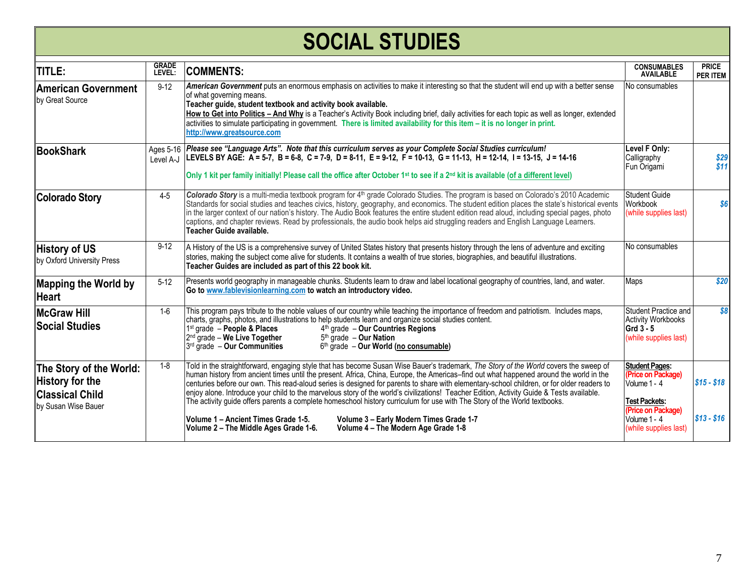# **SOCIAL STUDIES**

| <b>TITLE:</b>                                                                                      | <b>GRADE</b><br><b>LEVEL:</b> | <b>COMMENTS:</b>                                                                                                                                                                                                                                                                                                                                                                                                                                                                                                                                                                                                                                                                                                                                                                          | <b>CONSUMABLES</b><br><b>AVAILABLE</b>                                                                                    | <b>PRICE</b><br><b>PER ITEM</b> |
|----------------------------------------------------------------------------------------------------|-------------------------------|-------------------------------------------------------------------------------------------------------------------------------------------------------------------------------------------------------------------------------------------------------------------------------------------------------------------------------------------------------------------------------------------------------------------------------------------------------------------------------------------------------------------------------------------------------------------------------------------------------------------------------------------------------------------------------------------------------------------------------------------------------------------------------------------|---------------------------------------------------------------------------------------------------------------------------|---------------------------------|
| <b>American Government</b><br>by Great Source                                                      | $9 - 12$                      | American Government puts an enormous emphasis on activities to make it interesting so that the student will end up with a better sense<br>of what governing means.<br>Teacher guide, student textbook and activity book available.<br>How to Get into Politics - And Why is a Teacher's Activity Book including brief, daily activities for each topic as well as longer, extended<br>$l$ activities to simulate participating in government. There is limited availability for this item $-i$ is no longer in print.<br>http://www.greatsource.com                                                                                                                                                                                                                                       | No consumables                                                                                                            |                                 |
| <b>BookShark</b>                                                                                   | Level A-J                     | Ages 5-16   Please see "Language Arts". Note that this curriculum serves as your Complete Social Studies curriculum!<br>LEVELS BY AGE: A = 5-7, B = 6-8, C = 7-9, D = 8-11, E = 9-12, F = 10-13, G = 11-13, H = 12-14, I = 13-15, J = 14-16<br>Only 1 kit per family initially! Please call the office after October 1 <sup>st</sup> to see if a 2 <sup>nd</sup> kit is available (of a different level)                                                                                                                                                                                                                                                                                                                                                                                  | Level F Only:<br>Calligraphy<br>Fun Origami                                                                               | \$29<br>\$11                    |
| <b>Colorado Story</b>                                                                              | $4 - 5$                       | Colorado Story is a multi-media textbook program for 4 <sup>th</sup> grade Colorado Studies. The program is based on Colorado's 2010 Academic<br>Standards for social studies and teaches civics, history, geography, and economics. The student edition places the state's historical events<br>in the larger context of our nation's history. The Audio Book features the entire student edition read aloud, including special pages, photo<br>captions, and chapter reviews. Read by professionals, the audio book helps aid struggling readers and English Language Learners.<br>Teacher Guide available.                                                                                                                                                                             | <b>Student Guide</b><br>Workbook<br>(while supplies last)                                                                 | \$6                             |
| <b>History of US</b><br>by Oxford University Press                                                 | $9 - 12$                      | A History of the US is a comprehensive survey of United States history that presents history through the lens of adventure and exciting<br>stories, making the subject come alive for students. It contains a wealth of true stories, biographies, and beautiful illustrations.<br>Teacher Guides are included as part of this 22 book kit.                                                                                                                                                                                                                                                                                                                                                                                                                                               | No consumables                                                                                                            |                                 |
| <b>Mapping the World by</b><br><b>Heart</b>                                                        | $5-12$                        | Presents world geography in manageable chunks. Students learn to draw and label locational geography of countries, land, and water.<br>Go to www.fablevisionlearning.com to watch an introductory video.                                                                                                                                                                                                                                                                                                                                                                                                                                                                                                                                                                                  | Maps                                                                                                                      | \$20                            |
| <b>McGraw Hill</b><br><b>Social Studies</b>                                                        | $1 - 6$                       | This program pays tribute to the noble values of our country while teaching the importance of freedom and patriotism. Includes maps,<br>charts, graphs, photos, and illustrations to help students learn and organize social studies content.<br>$1st$ grade $-$ People & Places<br>$4th$ grade - Our Countries Regions<br>$2nd$ grade – We Live Together<br>$5th$ grade - Our Nation<br>$3rd$ grade - Our Communities<br>$6th$ grade - Our World (no consumable)                                                                                                                                                                                                                                                                                                                         | Student Practice and<br><b>Activity Workbooks</b><br>Grd $3 - 5$<br>(while supplies last)                                 | \$8                             |
| The Story of the World:<br><b>History for the</b><br><b>Classical Child</b><br>by Susan Wise Bauer | $1 - 8$                       | Told in the straightforward, engaging style that has become Susan Wise Bauer's trademark, The Story of the World covers the sweep of<br>human history from ancient times until the present. Africa, China, Europe, the Americas–find out what happened around the world in the<br>centuries before our own. This read-aloud series is designed for parents to share with elementary-school children, or for older readers to<br>lenjoy alone. Introduce your child to the marvelous story of the world's civilizations! Teacher Edition, Activity Guide & Tests available.<br>The activity guide offers parents a complete homeschool history curriculum for use with The Story of the World textbooks.<br>Volume 1 - Ancient Times Grade 1-5.<br>Volume 3 - Early Modern Times Grade 1-7 | <b>Student Pages:</b><br>(Price on Package)<br>Volume 1 - 4<br><b>Test Packets:</b><br>(Price on Package)<br>Volume 1 - 4 | $$15 - $18$<br>$$13 - $16$      |
|                                                                                                    |                               | Volume 4 - The Modern Age Grade 1-8<br>Volume 2 - The Middle Ages Grade 1-6.                                                                                                                                                                                                                                                                                                                                                                                                                                                                                                                                                                                                                                                                                                              | (while supplies last)                                                                                                     |                                 |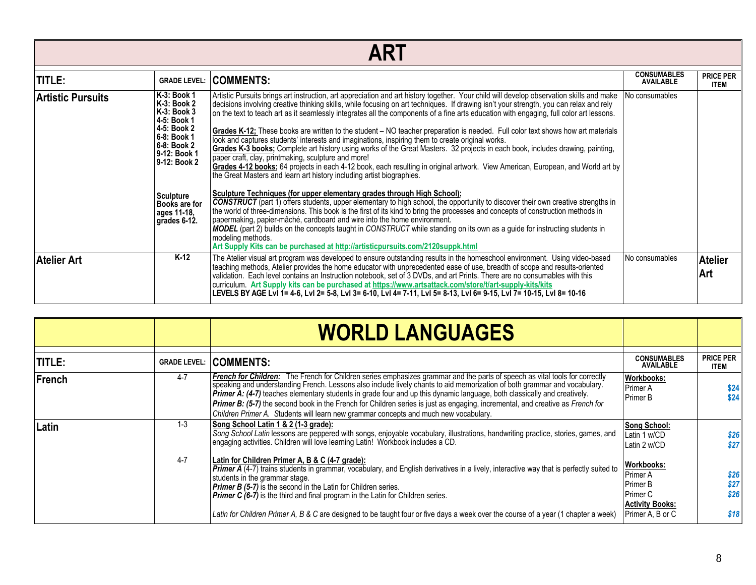|                   | ART                                                                                                                                                                                                              |                                                                                                                                                                                                                                                                                                                                                                                                                                                                                                                                                                                                                                                                                                                                                                                                                                                                                                                                                                                                                                                                                                                                                                                                                                                                                                                                                                                                                                                                                                                                                                                                                                                                                                                                                             |                                        |                                 |  |  |  |
|-------------------|------------------------------------------------------------------------------------------------------------------------------------------------------------------------------------------------------------------|-------------------------------------------------------------------------------------------------------------------------------------------------------------------------------------------------------------------------------------------------------------------------------------------------------------------------------------------------------------------------------------------------------------------------------------------------------------------------------------------------------------------------------------------------------------------------------------------------------------------------------------------------------------------------------------------------------------------------------------------------------------------------------------------------------------------------------------------------------------------------------------------------------------------------------------------------------------------------------------------------------------------------------------------------------------------------------------------------------------------------------------------------------------------------------------------------------------------------------------------------------------------------------------------------------------------------------------------------------------------------------------------------------------------------------------------------------------------------------------------------------------------------------------------------------------------------------------------------------------------------------------------------------------------------------------------------------------------------------------------------------------|----------------------------------------|---------------------------------|--|--|--|
| <b>TITLE:</b>     | <b>GRADE LEVEL:</b>                                                                                                                                                                                              | <b>COMMENTS:</b>                                                                                                                                                                                                                                                                                                                                                                                                                                                                                                                                                                                                                                                                                                                                                                                                                                                                                                                                                                                                                                                                                                                                                                                                                                                                                                                                                                                                                                                                                                                                                                                                                                                                                                                                            | <b>CONSUMABLES</b><br><b>AVAILABLE</b> | <b>PRICE PER</b><br><b>ITEM</b> |  |  |  |
| Artistic Pursuits | K-3: Book 1<br>K-3: Book 2<br>K-3: Book 3<br>4-5: Book 1<br>4-5: Book 2<br>6-8: Book 1<br>6-8: Book 2<br>9-12: Book 1<br>9-12: Book 2<br><b>Sculpture</b><br><b>Books are for</b><br>ages 11-18,<br>grades 6-12. | Artistic Pursuits brings art instruction, art appreciation and art history together. Your child will develop observation skills and make<br>decisions involving creative thinking skills, while focusing on art techniques. If drawing isn't your strength, you can relax and rely<br>on the text to teach art as it seamlessly integrates all the components of a fine arts education with engaging, full color art lessons.<br>Grades K-12; These books are written to the student - NO teacher preparation is needed. Full color text shows how art materials<br>look and captures students' interests and imaginations, inspiring them to create original works.<br>Grades K-3 books; Complete art history using works of the Great Masters. 32 projects in each book, includes drawing, painting,<br>paper craft, clay, printmaking, sculpture and more!<br>Grades 4-12 books; 64 projects in each 4-12 book, each resulting in original artwork. View American, European, and World art by<br>the Great Masters and learn art history including artist biographies.<br>Sculpture Techniques (for upper elementary grades through High School);<br><b>CONSTRUCT</b> (part 1) offers students, upper elementary to high school, the opportunity to discover their own creative strengths in<br>the world of three-dimensions. This book is the first of its kind to bring the processes and concepts of construction methods in<br>papermaking, papier-mâché, cardboard and wire into the home environment.<br><b>MODEL</b> (part 2) builds on the concepts taught in CONSTRUCT while standing on its own as a guide for instructing students in<br>modeling methods.<br>Art Supply Kits can be purchased at http://artisticpursuits.com/2120suppk.html | No consumables                         |                                 |  |  |  |
| Atelier Art       | $K-12$                                                                                                                                                                                                           | The Atelier visual art program was developed to ensure outstanding results in the homeschool environment. Using video-based<br>teaching methods, Atelier provides the home educator with unprecedented ease of use, breadth of scope and results-oriented<br>validation. Each level contains an Instruction notebook, set of 3 DVDs, and art Prints. There are no consumables with this<br>curriculum. Art Supply kits can be purchased at https://www.artsattack.com/store/t/art-supply-kits/kits<br>LEVELS BY AGE LvI 1= 4-6, LvI 2= 5-8, LvI 3= 6-10, LvI 4= 7-11, LvI 5= 8-13, LvI 6= 9-15, LvI 7= 10-15, LvI 8= 10-16                                                                                                                                                                                                                                                                                                                                                                                                                                                                                                                                                                                                                                                                                                                                                                                                                                                                                                                                                                                                                                                                                                                                  | No consumables                         | <b>Atelier</b><br>Art           |  |  |  |

|               |                     | <b>WORLD LANGUAGES</b>                                                                                                                                                                                                                                                                                                                                                                                                                                                                                                                                                                    |                                                                                                     |                                 |
|---------------|---------------------|-------------------------------------------------------------------------------------------------------------------------------------------------------------------------------------------------------------------------------------------------------------------------------------------------------------------------------------------------------------------------------------------------------------------------------------------------------------------------------------------------------------------------------------------------------------------------------------------|-----------------------------------------------------------------------------------------------------|---------------------------------|
| <b>TITLE:</b> | <b>GRADE LEVEL:</b> | <b>COMMENTS:</b>                                                                                                                                                                                                                                                                                                                                                                                                                                                                                                                                                                          | <b>CONSUMABLES</b><br><b>AVAILABLE</b>                                                              | <b>PRICE PER</b><br><b>ITEM</b> |
| French        | 4-7                 | <b>French for Children:</b> The French for Children series emphasizes grammar and the parts of speech as vital tools for correctly speaking and understanding French. Lessons also include lively chants to aid memorization of bot<br>Primer A: (4-7) teaches elementary students in grade four and up this dynamic language, both classically and creatively.<br>Primer B: (5-7) the second book in the French for Children series is just as engaging, incremental, and creative as French for<br>Children Primer A. Students will learn new grammar concepts and much new vocabulary. | <b>Workbooks:</b><br>Primer A<br><b>Primer B</b>                                                    | \$24<br>\$24                    |
| Latin         | $1 - 3$             | Song School Latin 1 & 2 (1-3 grade):<br>Song School Latin lessons are peppered with songs, enjoyable vocabulary, illustrations, handwriting practice, stories, games, and<br>engaging activities. Children will love learning Latin! Workbook includes a CD.                                                                                                                                                                                                                                                                                                                              | <b>Song School:</b><br>Latin 1 w/CD<br>Latin 2 w/CD                                                 | \$26<br>\$27                    |
|               | $4 - 7$             | Latin for Children Primer A, B & C (4-7 grade):<br><b>Primer A</b> (4-7) trains students in grammar, vocabulary, and English derivatives in a lively, interactive way that is perfectly suited to<br>students in the grammar stage.<br><b>Primer B (5-7)</b> is the second in the Latin for Children series.<br><b>Primer C (6-7)</b> is the third and final program in the Latin for Children series.<br>Latin for Children Primer A, B & C are designed to be taught four or five days a week over the course of a year (1 chapter a week)                                              | <b>Workbooks:</b><br>Primer A<br>Primer B<br>Primer C<br><b>Activity Books:</b><br>Primer A, B or C | \$26<br>\$27<br>\$26<br>\$18    |